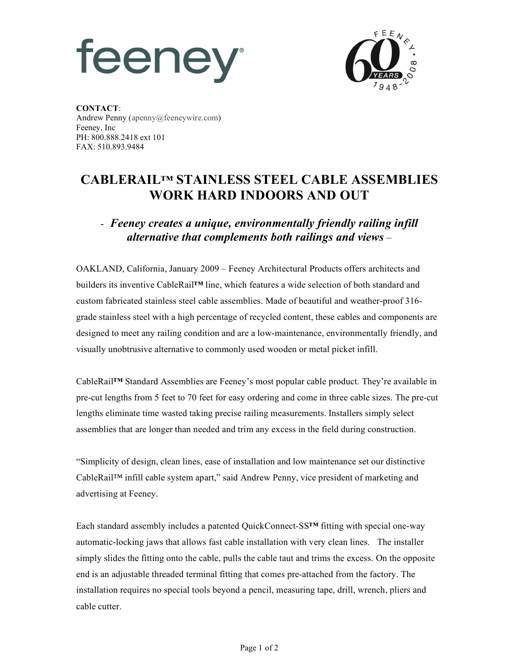## feeney



**CONTACT**: Andrew Penny (apenny@feeneywire.com) Feeney, Inc PH: 800.888.2418 ext 101 FAX: 510.893.9484

## **CABLERAIL™ STAINLESS STEEL CABLE ASSEMBLIES WORK HARD INDOORS AND OUT**

## - *Feeney creates a unique, environmentally friendly railing infill alternative that complements both railings and views –*

OAKLAND, California, January 2009 – Feeney Architectural Products offers architects and builders its inventive CableRail**™** line, which features a wide selection of both standard and custom fabricated stainless steel cable assemblies. Made of beautiful and weather-proof 316 grade stainless steel with a high percentage of recycled content, these cables and components are designed to meet any railing condition and are a low-maintenance, environmentally friendly, and visually unobtrusive alternative to commonly used wooden or metal picket infill.

CableRail**™** Standard Assemblies are Feeney's most popular cable product. They're available in pre-cut lengths from 5 feet to 70 feet for easy ordering and come in three cable sizes. The pre-cut lengths eliminate time wasted taking precise railing measurements. Installers simply select assemblies that are longer than needed and trim any excess in the field during construction.

"Simplicity of design, clean lines, ease of installation and low maintenance set our distinctive CableRail<sup>™</sup> infill cable system apart," said Andrew Penny, vice president of marketing and advertising at Feeney.

Each standard assembly includes a patented QuickConnect-SS**™** fitting with special one-way automatic-locking jaws that allows fast cable installation with very clean lines. The installer simply slides the fitting onto the cable, pulls the cable taut and trims the excess. On the opposite end is an adjustable threaded terminal fitting that comes pre-attached from the factory. The installation requires no special tools beyond a pencil, measuring tape, drill, wrench, pliers and cable cutter.